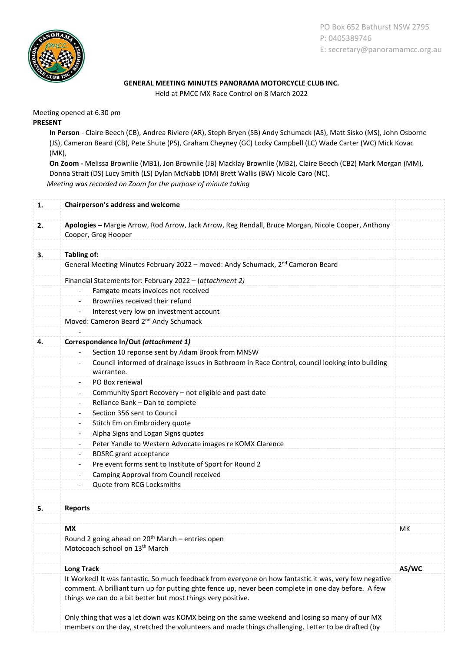

PO Box 652 Bathurst NSW 2795 P: 0405389746 E: secretary@panoramamcc.org.au

## GENERAL MEETING MINUTES PANORAMA MOTORCYCLE CLUB INC.

Held at PMCC MX Race Control on 8 March 2022

Meeting opened at 6.30 pm PRESENT

> In Person - Claire Beech (CB), Andrea Riviere (AR), Steph Bryen (SB) Andy Schumack (AS), Matt Sisko (MS), John Osborne (JS), Cameron Beard (CB), Pete Shute (PS), Graham Cheyney (GC) Locky Campbell (LC) Wade Carter (WC) Mick Kovac (MK),

> On Zoom - Melissa Brownlie (MB1), Jon Brownlie (JB) Macklay Brownlie (MB2), Claire Beech (CB2) Mark Morgan (MM), Donna Strait (DS) Lucy Smith (LS) Dylan McNabb (DM) Brett Wallis (BW) Nicole Caro (NC). Meeting was recorded on Zoom for the purpose of minute taking

| 1. | Chairperson's address and welcome                                                                                                                                    |       |
|----|----------------------------------------------------------------------------------------------------------------------------------------------------------------------|-------|
| 2. | Apologies - Margie Arrow, Rod Arrow, Jack Arrow, Reg Rendall, Bruce Morgan, Nicole Cooper, Anthony                                                                   |       |
|    | Cooper, Greg Hooper                                                                                                                                                  |       |
|    |                                                                                                                                                                      |       |
| 3. | <b>Tabling of:</b>                                                                                                                                                   |       |
|    | General Meeting Minutes February 2022 - moved: Andy Schumack, 2 <sup>nd</sup> Cameron Beard                                                                          |       |
|    | Financial Statements for: February 2022 - (attachment 2)                                                                                                             |       |
|    | Famgate meats invoices not received                                                                                                                                  |       |
|    | Brownlies received their refund                                                                                                                                      |       |
|    | Interest very low on investment account<br>$\overline{\phantom{a}}$                                                                                                  |       |
|    | Moved: Cameron Beard 2 <sup>nd</sup> Andy Schumack                                                                                                                   |       |
|    |                                                                                                                                                                      |       |
| 4. | Correspondence In/Out (attachment 1)                                                                                                                                 |       |
|    | Section 10 reponse sent by Adam Brook from MNSW<br>Council informed of drainage issues in Bathroom in Race Control, council looking into building                    |       |
|    | $\overline{\phantom{a}}$<br>warrantee.                                                                                                                               |       |
|    | PO Box renewal<br>$\overline{\phantom{a}}$                                                                                                                           |       |
|    | Community Sport Recovery - not eligible and past date                                                                                                                |       |
|    | Reliance Bank - Dan to complete<br>$\overline{\phantom{a}}$                                                                                                          |       |
|    | Section 356 sent to Council<br>$\overline{\phantom{a}}$                                                                                                              |       |
|    | Stitch Em on Embroidery quote<br>$\overline{\phantom{a}}$                                                                                                            |       |
|    | Alpha Signs and Logan Signs quotes                                                                                                                                   |       |
|    | Peter Yandle to Western Advocate images re KOMX Clarence                                                                                                             |       |
|    | <b>BDSRC</b> grant acceptance<br>$\overline{\phantom{a}}$                                                                                                            |       |
|    | Pre event forms sent to Institute of Sport for Round 2<br>$\overline{\phantom{a}}$                                                                                   |       |
|    | Camping Approval from Council received<br>$\overline{\phantom{a}}$                                                                                                   |       |
|    | Quote from RCG Locksmiths                                                                                                                                            |       |
|    |                                                                                                                                                                      |       |
| 5. | <b>Reports</b>                                                                                                                                                       |       |
|    | <b>MX</b>                                                                                                                                                            | мк    |
|    | Round 2 going ahead on 20 <sup>th</sup> March - entries open<br>Motocoach school on 13 <sup>th</sup> March                                                           |       |
|    | <b>Long Track</b>                                                                                                                                                    | AS/WC |
|    | It Worked! It was fantastic. So much feedback from everyone on how fantastic it was, very few negative                                                               |       |
|    | comment. A brilliant turn up for putting ghte fence up, never been complete in one day before. A few<br>things we can do a bit better but most things very positive. |       |
|    | Only thing that was a let down was KOMX being on the same weekend and losing so many of our MX                                                                       |       |
|    | members on the day, stretched the volunteers and made things challenging. Letter to be drafted (by                                                                   |       |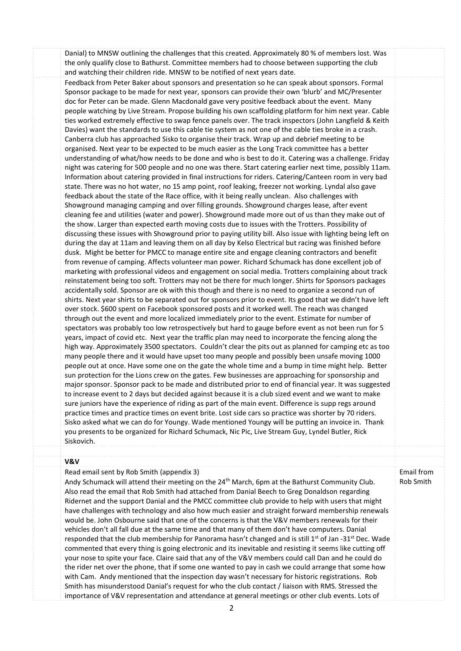Danial) to MNSW outlining the challenges that this created. Approximately 80 % of members lost. Was the only qualify close to Bathurst. Committee members had to choose between supporting the club and watching their children ride. MNSW to be notified of next years date.

Feedback from Peter Baker about sponsors and presentation so he can speak about sponsors. Formal Sponsor package to be made for next year, sponsors can provide their own 'blurb' and MC/Presenter doc for Peter can be made. Glenn Macdonald gave very positive feedback about the event. Many people watching by Live Stream. Propose building his own scaffolding platform for him next year. Cable ties worked extremely effective to swap fence panels over. The track inspectors (John Langfield & Keith Davies) want the standards to use this cable tie system as not one of the cable ties broke in a crash. Canberra club has approached Sisko to organise their track. Wrap up and debrief meeting to be organised. Next year to be expected to be much easier as the Long Track committee has a better understanding of what/how needs to be done and who is best to do it. Catering was a challenge. Friday night was catering for 500 people and no one was there. Start catering earlier next time, possibly 11am. Information about catering provided in final instructions for riders. Catering/Canteen room in very bad state. There was no hot water, no 15 amp point, roof leaking, freezer not working. Lyndal also gave feedback about the state of the Race office, with it being really unclean. Also challenges with Showground managing camping and over filling grounds. Showground charges lease, after event cleaning fee and utilities (water and power). Showground made more out of us than they make out of the show. Larger than expected earth moving costs due to issues with the Trotters. Possibility of discussing these issues with Showground prior to paying utility bill. Also issue with lighting being left on during the day at 11am and leaving them on all day by Kelso Electrical but racing was finished before dusk. Might be better for PMCC to manage entire site and engage cleaning contractors and benefit from revenue of camping. Affects volunteer man power. Richard Schumack has done excellent job of marketing with professional videos and engagement on social media. Trotters complaining about track reinstatement being too soft. Trotters may not be there for much longer. Shirts for Sponsors packages accidentally sold. Sponsor are ok with this though and there is no need to organize a second run of shirts. Next year shirts to be separated out for sponsors prior to event. Its good that we didn't have left over stock. \$600 spent on Facebook sponsored posts and it worked well. The reach was changed through out the event and more localized immediately prior to the event. Estimate for number of spectators was probably too low retrospectively but hard to gauge before event as not been run for 5 years, impact of covid etc. Next year the traffic plan may need to incorporate the fencing along the high way. Approximately 3500 spectators. Couldn't clear the pits out as planned for camping etc as too many people there and it would have upset too many people and possibly been unsafe moving 1000 people out at once. Have some one on the gate the whole time and a bump in time might help. Better sun protection for the Lions crew on the gates. Few businesses are approaching for sponsorship and major sponsor. Sponsor pack to be made and distributed prior to end of financial year. It was suggested to increase event to 2 days but decided against because it is a club sized event and we want to make sure juniors have the experience of riding as part of the main event. Difference is supp regs around practice times and practice times on event brite. Lost side cars so practice was shorter by 70 riders. Sisko asked what we can do for Youngy. Wade mentioned Youngy will be putting an invoice in. Thank you presents to be organized for Richard Schumack, Nic Pic, Live Stream Guy, Lyndel Butler, Rick Siskovich.

## V&V

Read email sent by Rob Smith (appendix 3) Andy Schumack will attend their meeting on the 24<sup>th</sup> March, 6pm at the Bathurst Community Club. Also read the email that Rob Smith had attached from Danial Beech to Greg Donaldson regarding Ridernet and the support Danial and the PMCC committee club provide to help with users that might have challenges with technology and also how much easier and straight forward membership renewals would be. John Osbourne said that one of the concerns is that the V&V members renewals for their vehicles don't all fall due at the same time and that many of them don't have computers. Danial responded that the club membership for Panorama hasn't changed and is still  $1^{st}$  of Jan -31<sup>st</sup> Dec. Wade commented that every thing is going electronic and its inevitable and resisting it seems like cutting off your nose to spite your face. Claire said that any of the V&V members could call Dan and he could do the rider net over the phone, that if some one wanted to pay in cash we could arrange that some how with Cam. Andy mentioned that the inspection day wasn't necessary for historic registrations. Rob Smith has misunderstood Danial's request for who the club contact / liaison with RMS. Stressed the importance of V&V representation and attendance at general meetings or other club events. Lots of Email from Rob Smith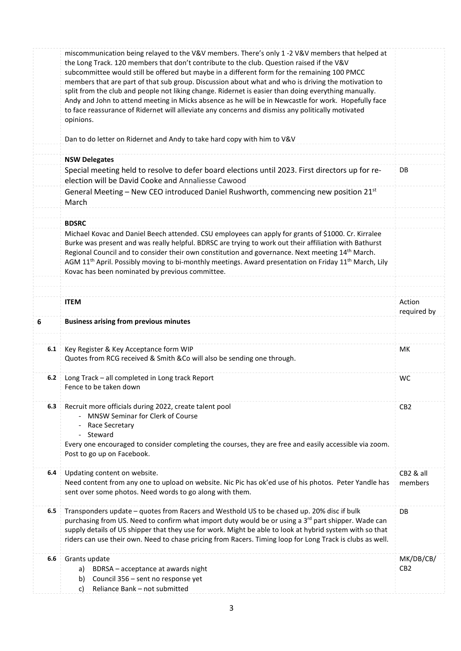|     | miscommunication being relayed to the V&V members. There's only 1 -2 V&V members that helped at<br>the Long Track. 120 members that don't contribute to the club. Question raised if the V&V<br>subcommittee would still be offered but maybe in a different form for the remaining 100 PMCC<br>members that are part of that sub group. Discussion about what and who is driving the motivation to<br>split from the club and people not liking change. Ridernet is easier than doing everything manually.<br>Andy and John to attend meeting in Micks absence as he will be in Newcastle for work. Hopefully face<br>to face reassurance of Ridernet will alleviate any concerns and dismiss any politically motivated<br>opinions.<br>Dan to do letter on Ridernet and Andy to take hard copy with him to V&V |                              |
|-----|------------------------------------------------------------------------------------------------------------------------------------------------------------------------------------------------------------------------------------------------------------------------------------------------------------------------------------------------------------------------------------------------------------------------------------------------------------------------------------------------------------------------------------------------------------------------------------------------------------------------------------------------------------------------------------------------------------------------------------------------------------------------------------------------------------------|------------------------------|
|     |                                                                                                                                                                                                                                                                                                                                                                                                                                                                                                                                                                                                                                                                                                                                                                                                                  |                              |
|     | <b>NSW Delegates</b>                                                                                                                                                                                                                                                                                                                                                                                                                                                                                                                                                                                                                                                                                                                                                                                             |                              |
|     | Special meeting held to resolve to defer board elections until 2023. First directors up for re-<br>election will be David Cooke and Annaliesse Cawood                                                                                                                                                                                                                                                                                                                                                                                                                                                                                                                                                                                                                                                            | DB                           |
|     | General Meeting – New CEO introduced Daniel Rushworth, commencing new position $21^{st}$<br>March                                                                                                                                                                                                                                                                                                                                                                                                                                                                                                                                                                                                                                                                                                                |                              |
|     | <b>BDSRC</b>                                                                                                                                                                                                                                                                                                                                                                                                                                                                                                                                                                                                                                                                                                                                                                                                     |                              |
|     | Michael Kovac and Daniel Beech attended. CSU employees can apply for grants of \$1000. Cr. Kirralee<br>Burke was present and was really helpful. BDRSC are trying to work out their affiliation with Bathurst<br>Regional Council and to consider their own constitution and governance. Next meeting 14th March.<br>AGM 11 <sup>th</sup> April. Possibly moving to bi-monthly meetings. Award presentation on Friday 11 <sup>th</sup> March, Lily<br>Kovac has been nominated by previous committee.                                                                                                                                                                                                                                                                                                            |                              |
|     | <b>ITEM</b>                                                                                                                                                                                                                                                                                                                                                                                                                                                                                                                                                                                                                                                                                                                                                                                                      | Action<br>required by        |
| 6   | <b>Business arising from previous minutes</b>                                                                                                                                                                                                                                                                                                                                                                                                                                                                                                                                                                                                                                                                                                                                                                    |                              |
| 6.1 | Key Register & Key Acceptance form WIP<br>Quotes from RCG received & Smith & Co will also be sending one through.                                                                                                                                                                                                                                                                                                                                                                                                                                                                                                                                                                                                                                                                                                | МK                           |
| 6.2 | Long Track - all completed in Long track Report<br>Fence to be taken down                                                                                                                                                                                                                                                                                                                                                                                                                                                                                                                                                                                                                                                                                                                                        | <b>WC</b>                    |
| 6.3 | Recruit more officials during 2022, create talent pool<br><b>MNSW Seminar for Clerk of Course</b><br>Race Secretary<br>- Steward<br>Every one encouraged to consider completing the courses, they are free and easily accessible via zoom.<br>Post to go up on Facebook.                                                                                                                                                                                                                                                                                                                                                                                                                                                                                                                                         | CB <sub>2</sub>              |
| 6.4 | Updating content on website.<br>Need content from any one to upload on website. Nic Pic has ok'ed use of his photos. Peter Yandle has<br>sent over some photos. Need words to go along with them.                                                                                                                                                                                                                                                                                                                                                                                                                                                                                                                                                                                                                | CB2 & all<br>members         |
| 6.5 | Transponders update - quotes from Racers and Westhold US to be chased up. 20% disc if bulk<br>purchasing from US. Need to confirm what import duty would be or using a 3 <sup>rd</sup> part shipper. Wade can<br>supply details of US shipper that they use for work. Might be able to look at hybrid system with so that<br>riders can use their own. Need to chase pricing from Racers. Timing loop for Long Track is clubs as well.                                                                                                                                                                                                                                                                                                                                                                           | DB                           |
| 6.6 | Grants update<br>BDRSA - acceptance at awards night<br>a)<br>Council 356 - sent no response yet<br>b)<br>Reliance Bank - not submitted<br>c)                                                                                                                                                                                                                                                                                                                                                                                                                                                                                                                                                                                                                                                                     | MK/DB/CB/<br>CB <sub>2</sub> |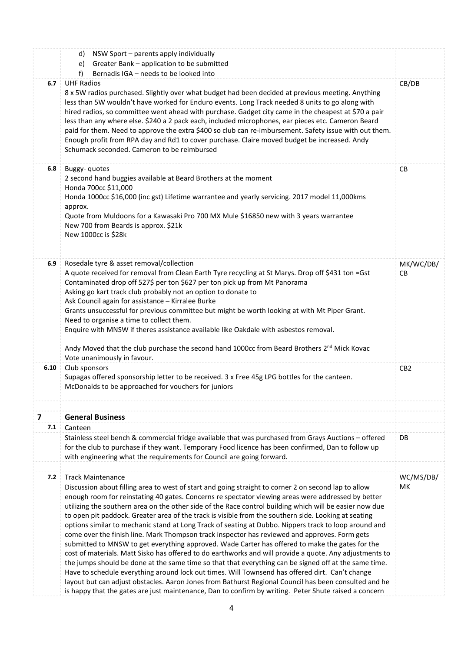|      | d) NSW Sport - parents apply individually<br>Greater Bank - application to be submitted<br>e)<br>Bernadis IGA - needs to be looked into<br>f                                                                                                                                                                                                                                                                                                                                                                                                                                                                                                                                                                                                                                                                                                                                                                                                                                                                                                                                                                                                                                                                                                                                                                    |                  |  |  |
|------|-----------------------------------------------------------------------------------------------------------------------------------------------------------------------------------------------------------------------------------------------------------------------------------------------------------------------------------------------------------------------------------------------------------------------------------------------------------------------------------------------------------------------------------------------------------------------------------------------------------------------------------------------------------------------------------------------------------------------------------------------------------------------------------------------------------------------------------------------------------------------------------------------------------------------------------------------------------------------------------------------------------------------------------------------------------------------------------------------------------------------------------------------------------------------------------------------------------------------------------------------------------------------------------------------------------------|------------------|--|--|
| 6.7  | <b>UHF Radios</b><br>8 x 5W radios purchased. Slightly over what budget had been decided at previous meeting. Anything<br>less than 5W wouldn't have worked for Enduro events. Long Track needed 8 units to go along with<br>hired radios, so committee went ahead with purchase. Gadget city came in the cheapest at \$70 a pair<br>less than any where else. \$240 a 2 pack each, included microphones, ear pieces etc. Cameron Beard<br>paid for them. Need to approve the extra \$400 so club can re-imbursement. Safety issue with out them.<br>Enough profit from RPA day and Rd1 to cover purchase. Claire moved budget be increased. Andy<br>Schumack seconded. Cameron to be reimbursed                                                                                                                                                                                                                                                                                                                                                                                                                                                                                                                                                                                                                |                  |  |  |
| 6.8  | Buggy-quotes<br>2 second hand buggies available at Beard Brothers at the moment<br>Honda 700cc \$11,000<br>Honda 1000cc \$16,000 (inc gst) Lifetime warrantee and yearly servicing. 2017 model 11,000kms<br>approx.<br>Quote from Muldoons for a Kawasaki Pro 700 MX Mule \$16850 new with 3 years warrantee<br>New 700 from Beards is approx. \$21k<br>New 1000cc is \$28k                                                                                                                                                                                                                                                                                                                                                                                                                                                                                                                                                                                                                                                                                                                                                                                                                                                                                                                                     | CB               |  |  |
| 6.9  | Rosedale tyre & asset removal/collection<br>A quote received for removal from Clean Earth Tyre recycling at St Marys. Drop off \$431 ton =Gst<br>Contaminated drop off 527\$ per ton \$627 per ton pick up from Mt Panorama<br>Asking go kart track club probably not an option to donate to<br>Ask Council again for assistance - Kirralee Burke<br>Grants unsuccessful for previous committee but might be worth looking at with Mt Piper Grant.<br>Need to organise a time to collect them.<br>Enquire with MNSW if theres assistance available like Oakdale with asbestos removal.<br>Andy Moved that the club purchase the second hand 1000cc from Beard Brothers 2 <sup>nd</sup> Mick Kovac                                                                                                                                                                                                                                                                                                                                                                                                                                                                                                                                                                                                               | MK/WC/DB/<br>CВ  |  |  |
| 6.10 | Vote unanimously in favour.<br>Club sponsors<br>Supagas offered sponsorship letter to be received. 3 x Free 45g LPG bottles for the canteen.<br>McDonalds to be approached for vouchers for juniors                                                                                                                                                                                                                                                                                                                                                                                                                                                                                                                                                                                                                                                                                                                                                                                                                                                                                                                                                                                                                                                                                                             | CB <sub>2</sub>  |  |  |
| 7    | <b>General Business</b>                                                                                                                                                                                                                                                                                                                                                                                                                                                                                                                                                                                                                                                                                                                                                                                                                                                                                                                                                                                                                                                                                                                                                                                                                                                                                         |                  |  |  |
| 7.1  | Canteen                                                                                                                                                                                                                                                                                                                                                                                                                                                                                                                                                                                                                                                                                                                                                                                                                                                                                                                                                                                                                                                                                                                                                                                                                                                                                                         |                  |  |  |
|      | Stainless steel bench & commercial fridge available that was purchased from Grays Auctions - offered<br>for the club to purchase if they want. Temporary Food licence has been confirmed, Dan to follow up<br>with engineering what the requirements for Council are going forward.                                                                                                                                                                                                                                                                                                                                                                                                                                                                                                                                                                                                                                                                                                                                                                                                                                                                                                                                                                                                                             | DB.              |  |  |
| 7.2  | <b>Track Maintenance</b><br>Discussion about filling area to west of start and going straight to corner 2 on second lap to allow<br>enough room for reinstating 40 gates. Concerns re spectator viewing areas were addressed by better<br>utilizing the southern area on the other side of the Race control building which will be easier now due<br>to open pit paddock. Greater area of the track is visible from the southern side. Looking at seating<br>options similar to mechanic stand at Long Track of seating at Dubbo. Nippers track to loop around and<br>come over the finish line. Mark Thompson track inspector has reviewed and approves. Form gets<br>submitted to MNSW to get everything approved. Wade Carter has offered to make the gates for the<br>cost of materials. Matt Sisko has offered to do earthworks and will provide a quote. Any adjustments to<br>the jumps should be done at the same time so that that everything can be signed off at the same time.<br>Have to schedule everything around lock out times. Will Townsend has offered dirt. Can't change<br>layout but can adjust obstacles. Aaron Jones from Bathurst Regional Council has been consulted and he<br>is happy that the gates are just maintenance, Dan to confirm by writing. Peter Shute raised a concern | WC/MS/DB/<br>MK. |  |  |